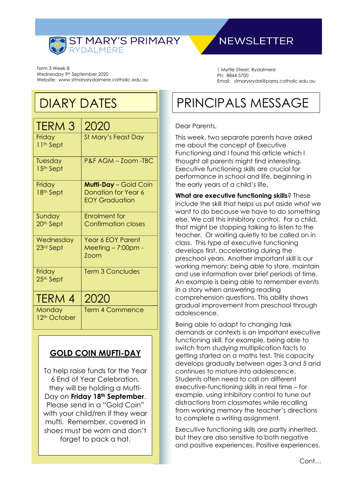

## **NEWSLETTER**

Term 3 Week 8 Wednesday 9<sup>th</sup> September 2020 Website: www.stmarysrydalmere.catholic.edu.au

1 Myrtle Street, Rydalmere Ph: 8844 5700 Email: stmarysrydal@parra.catholic.edu.au

## DIARY DATES

| <b>TERM 3</b>                      | 2020                                                                         |
|------------------------------------|------------------------------------------------------------------------------|
| Friday<br>11 <sup>th</sup> Sept    | St Mary's Feast Day                                                          |
| Tuesday<br>15 <sup>th</sup> Sept   | P&F AGM - Zoom -TBC                                                          |
| Friday<br>18th Sept                | <b>Mufti-Day</b> - Gold Coin<br>Donation for Year 6<br><b>EOY Graduation</b> |
| Sunday<br>20 <sup>th</sup> Sept    | <b>Enrolment</b> for<br><b>Confirmation closes</b>                           |
| Wednesday<br>23rd Sept             | <b>Year 6 EOY Parent</b><br>Meeting – 7:00pm -<br>$70$ cm                    |
| Friday<br>25th Sept                | <b>Term 3 Concludes</b>                                                      |
| TERM 4                             | 2020                                                                         |
| Monday<br>12 <sup>th</sup> October | <b>Term 4 Commence</b>                                                       |

### **GOLD COIN MUFTI-DAY**

To help raise funds for the Year 6 End of Year Celebration, they will be holding a Mufti-Day on **Friday 18th September**. Please send in a "Gold Coin" with your child/ren if they wear mufti. Remember, covered in shoes must be worn and don't forget to pack a hat.

# PRINCIPALS MESSAGE

#### Dear Parents,

This week, two separate parents have asked me about the concept of Executive Functioning and I found this article which I thought all parents might find interesting. Executive functioning skills are crucial for performance in school and life, beginning in the early years of a child's life.

**What are executive functioning skills**? These include the skill that helps us put aside what we want to do because we have to do something else. We call this inhibitory control. For a child, that might be stopping talking to listen to the teacher. Or waiting quietly to be called on in class. This type of executive functioning develops first, accelerating during the preschool years. Another important skill is our working memory: being able to store, maintain and use information over brief periods of time. An example is being able to remember events in a story when answering reading comprehension questions. This ability shows gradual improvement from preschool through adolescence.

Being able to adapt to changing task demands or contexts is an important executive functioning skill. For example, being able to switch from studying multiplication facts to getting started on a maths test. This capacity develops gradually between ages 3 and 5 and continues to mature into adolescence. Students often need to call on different executive-functioning skills in real time – for example, using inhibitory control to tune out distractions from classmates while recalling from working memory the teacher's directions to complete a writing assignment.

Executive functioning skills are partly inherited, but they are also sensitive to both negative and positive experiences. Positive experiences.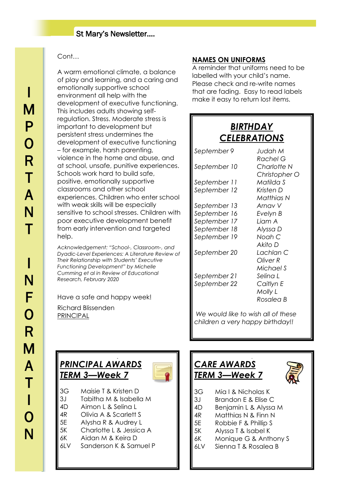### St Mary's Newsletter….

### Cont…

A warm emotional climate, a balance of play and learning, and a caring and emotionally supportive school environment all help with the development of executive functioning. This includes adults showing selfregulation. Stress. Moderate stress is important to development but persistent stress undermines the development of executive functioning – for example, harsh parenting, violence in the home and abuse, and at school, unsafe, punitive experiences. Schools work hard to build safe, positive, emotionally supportive classrooms and other school experiences. Children who enter school with weak skills will be especially sensitive to school stresses. Children with poor executive development benefit from early intervention and targeted help.

*Acknowledgement: "School-, Classroom-, and Dyadic-Level Experiences: A Literature Review of Their Relationship with Students' Executive Functioning Development" by Michelle Cumming et al in Review of Educational Research, February 2020*

Have a safe and happy week!

Richard Blissenden PRINCIPAL

#### **NAMES ON UNIFORMS**

A reminder that uniforms need to be labelled with your child's name. Please check and re-write names that are fading. Easy to read labels make it easy to return lost items.

### J *BIRTHDAY CELEBRATIONS*

| September 9  | Judah M       |
|--------------|---------------|
|              | Rachel G      |
| September 10 | Charlotte N   |
|              | Christopher O |
| September 11 | Matilda S     |
| September 12 | Kristen D     |
|              | Matthias N    |
| September 13 | Arnav V       |
| September 16 | Evelyn B      |
| September 17 | Liam A        |
| September 18 | Alyssa D      |
| September 19 | Noah C        |
|              | Akito D       |
| September 20 | Lachlan C     |
|              | Oliver R      |
|              | Michael S     |
| September 21 | Selina L      |
| September 22 | Caitlyn E     |
|              | Molly L       |
|              | Rosalea B     |

*We would like to wish all of these children a very happy birthday!!*

 $\overline{a}$ 

### *PRINCIPAL AWARDS TERM 3—Week 7*



3G Maisie T & Kristen D

 $\overline{a}$ 

- 3J Tabitha M & Isabella M
- 4D Aimon L & Selina L
- 4R Olivia A & Scarlett S
- 5E Alysha R & Audrey L
- 5K Charlotte L & Jessica A
- 6K Aidan M & Keira D
- 6LV Sanderson K & Samuel P

## *CARE AWARDS TERM 3—Week 7*



- 3G Mia I & Nicholas K
- 3J Brandon E & Elise C
- 4D Benjamin L & Alyssa M
- 4R Matthias N & Finn N
- 5E Robbie F & Phillip S
- 5K Alyssa T & Isabel K
- 6K Monique G & Anthony S
- 6LV Sienna T & Rosalea B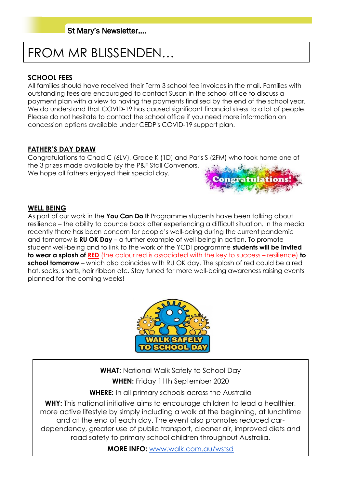# FROM MR BLISSENDEN…

### **SCHOOL FEES**

All families should have received their Term 3 school fee invoices in the mail. Families with outstanding fees are encouraged to contact Susan in the school office to discuss a payment plan with a view to having the payments finalised by the end of the school year. We do understand that COVID-19 has caused significant financial stress to a lot of people. Please do not hesitate to contact the school office if you need more information on concession options available under CEDP's COVID-19 support plan.

### **FATHER'S DAY DRAW**

Congratulations to Chad C (6LV), Grace K (1D) and Paris S (2FM) who took home one of the 3 prizes made available by the P&F Stall Convenors. We hope all fathers enjoyed their special day.



#### **WELL BEING**

As part of our work in the **You Can Do It** Programme students have been talking about resilience – the ability to bounce back after experiencing a difficult situation. In the media recently there has been concern for people's well-being during the current pandemic and tomorrow is **RU OK Day** – a further example of well-being in action. To promote student well-being and to link to the work of the YCDI programme **students will be invited to wear a splash of RED** (the colour red is associated with the key to success – resilience) **to school tomorrow** – which also coincides with RU OK day. The splash of red could be a red hat, socks, shorts, hair ribbon etc. Stay tuned for more well-being awareness raising events planned for the coming weeks!



**WHAT:** National Walk Safely to School Day **WHEN:** Friday 11th September 2020

**WHERE:** In all primary schools across the Australia

**WHY:** This national initiative aims to encourage children to lead a healthier, more active lifestyle by simply including a walk at the beginning, at lunchtime and at the end of each day. The event also promotes reduced cardependency, greater use of public transport, cleaner air, improved diets and road safety to primary school children throughout Australia.

**MORE INFO:** [www.walk.com.au/wstsd](http://www.walk.com.au/wstsd/)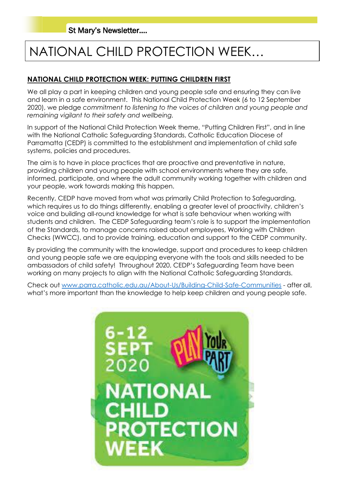# NATIONAL CHILD PROTECTION WEEK…

### **NATIONAL CHILD PROTECTION WEEK: PUTTING CHILDREN FIRST**

We all play a part in keeping children and young people safe and ensuring they can live and learn in a safe environment. This National Child Protection Week (6 to 12 September 2020), we pledge *commitment to listening to the voices of children and young people and remaining vigilant to their safety and wellbeing.*

In support of the National Child Protection Week theme, "Putting Children First", and in line with the National Catholic Safeguarding Standards, Catholic Education Diocese of Parramatta (CEDP) is committed to the establishment and implementation of child safe systems, policies and procedures.

The aim is to have in place practices that are proactive and preventative in nature, providing children and young people with school environments where they are safe, informed, participate, and where the adult community working together with children and your people, work towards making this happen.

Recently, CEDP have moved from what was primarily Child Protection to Safeguarding, which requires us to do things differently, enabling a greater level of proactivity, children's voice and building all-round knowledge for what is safe behaviour when working with students and children. The CEDP Safeguarding team's role is to support the implementation of the Standards, to manage concerns raised about employees, Working with Children Checks (WWCC), and to provide training, education and support to the CEDP community.

By providing the community with the knowledge, support and procedures to keep children and young people safe we are equipping everyone with the tools and skills needed to be ambassadors of child safety! Throughout 2020, CEDP's Safeguarding Team have been working on many projects to align with the National Catholic Safeguarding Standards.

Check out [www.parra.catholic.edu.au/About-Us/Building-Child-Safe-Communities](http://www.parra.catholic.edu.au/About-Us/Building-Child-Safe-Communities) - after all, what's more important than the knowledge to help keep children and young people safe.

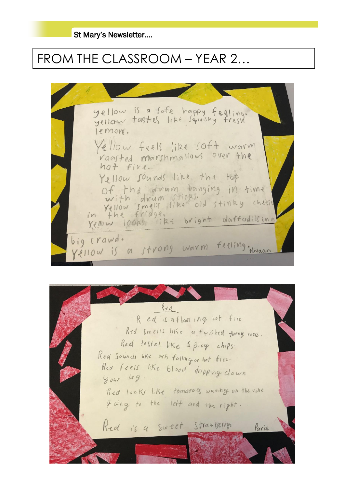St Mary's Newsletter….

## FROM THE CLASSROOM – YEAR 2…

yellow is a safe happy feeling.<br>yellow tastes like squishy fresh lemons. ellow feels like soft worm raasted marshmallows over the Yellow sounds like the top of the drum bonging in time With drum sticks.<br>Yellow smells like old stinky cheese<br>in the fridge, bright doffodilling Kellow looks like bright daffodilsing big crawd. Vellow is a strong worm feeling. Nivaan

Red Red is affaming lot fire Red Smells like a twisted thorny rose. Red tastes like Spicy chips. Red Sounds like ash falling on hot fire. Rea feels like blood dripping clown  $4041$  leg. Red looks like tomatols waving on the vine I ding to the left and the right. Red is a sweet Strawberry. Paris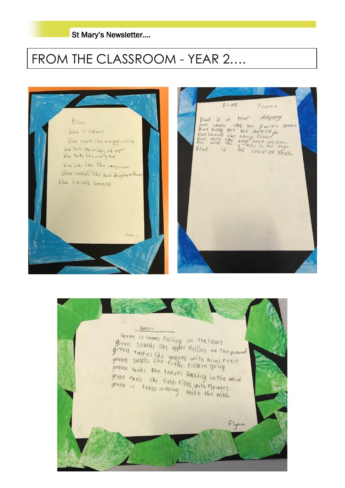

# FROM THE CLASSROOM - YEAR 2….